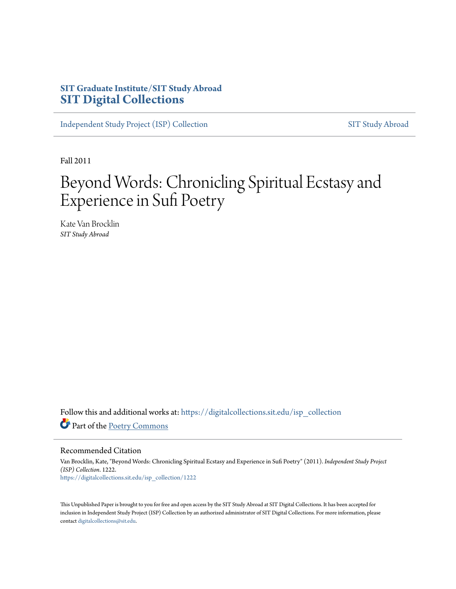# **SIT Graduate Institute/SIT Study Abroad [SIT Digital Collections](https://digitalcollections.sit.edu?utm_source=digitalcollections.sit.edu%2Fisp_collection%2F1222&utm_medium=PDF&utm_campaign=PDFCoverPages)**

[Independent Study Project \(ISP\) Collection](https://digitalcollections.sit.edu/isp_collection?utm_source=digitalcollections.sit.edu%2Fisp_collection%2F1222&utm_medium=PDF&utm_campaign=PDFCoverPages) [SIT Study Abroad](https://digitalcollections.sit.edu/study_abroad?utm_source=digitalcollections.sit.edu%2Fisp_collection%2F1222&utm_medium=PDF&utm_campaign=PDFCoverPages)

Fall 2011

# Beyond Words: Chronicling Spiritual Ecstasy and Experience in Sufi Poetry

Kate Van Brocklin *SIT Study Abroad*

Follow this and additional works at: [https://digitalcollections.sit.edu/isp\\_collection](https://digitalcollections.sit.edu/isp_collection?utm_source=digitalcollections.sit.edu%2Fisp_collection%2F1222&utm_medium=PDF&utm_campaign=PDFCoverPages) Part of the [Poetry Commons](http://network.bepress.com/hgg/discipline/1153?utm_source=digitalcollections.sit.edu%2Fisp_collection%2F1222&utm_medium=PDF&utm_campaign=PDFCoverPages)

Recommended Citation

Van Brocklin, Kate, "Beyond Words: Chronicling Spiritual Ecstasy and Experience in Sufi Poetry" (2011). *Independent Study Project (ISP) Collection*. 1222. [https://digitalcollections.sit.edu/isp\\_collection/1222](https://digitalcollections.sit.edu/isp_collection/1222?utm_source=digitalcollections.sit.edu%2Fisp_collection%2F1222&utm_medium=PDF&utm_campaign=PDFCoverPages)

This Unpublished Paper is brought to you for free and open access by the SIT Study Abroad at SIT Digital Collections. It has been accepted for inclusion in Independent Study Project (ISP) Collection by an authorized administrator of SIT Digital Collections. For more information, please contact [digitalcollections@sit.edu](mailto:digitalcollections@sit.edu).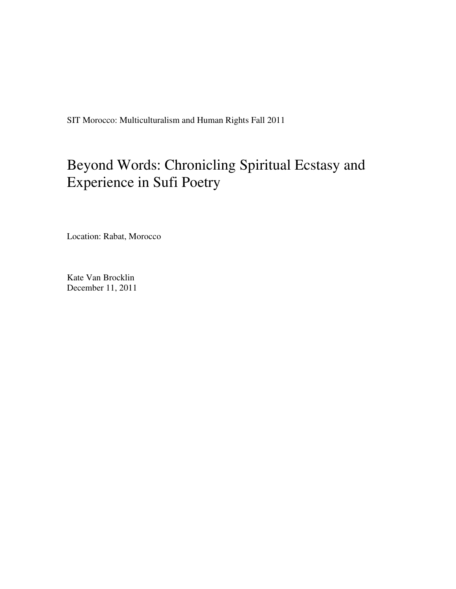SIT Morocco: Multiculturalism and Human Rights Fall 2011

# Beyond Words: Chronicling Spiritual Ecstasy and Experience in Sufi Poetry

Location: Rabat, Morocco

Kate Van Brocklin December 11, 2011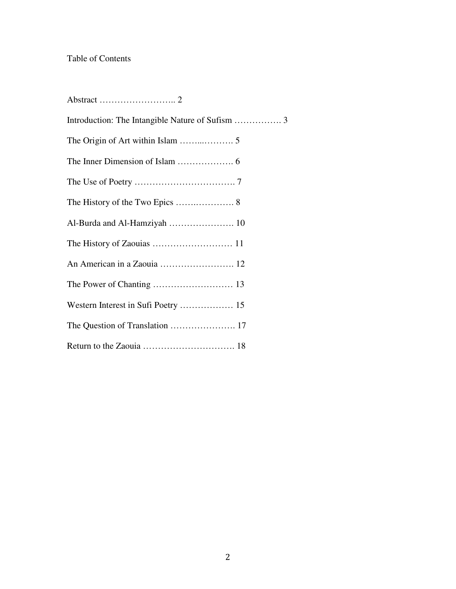# Table of Contents

| Al-Burda and Al-Hamziyah  10        |
|-------------------------------------|
|                                     |
| An American in a Zaouia  12         |
|                                     |
| Western Interest in Sufi Poetry  15 |
|                                     |
|                                     |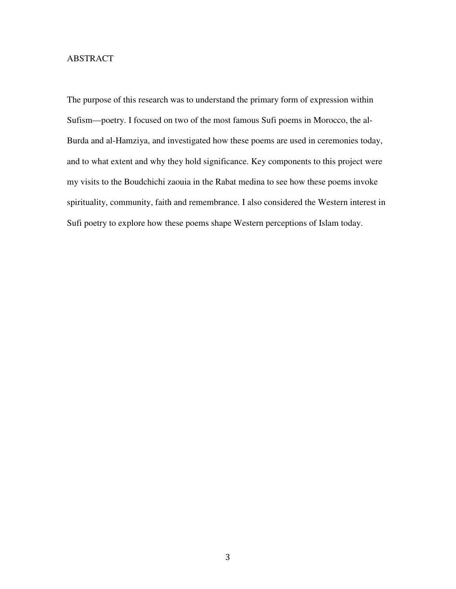# ABSTRACT

The purpose of this research was to understand the primary form of expression within Sufism—poetry. I focused on two of the most famous Sufi poems in Morocco, the al-Burda and al-Hamziya, and investigated how these poems are used in ceremonies today, and to what extent and why they hold significance. Key components to this project were my visits to the Boudchichi zaouia in the Rabat medina to see how these poems invoke spirituality, community, faith and remembrance. I also considered the Western interest in Sufi poetry to explore how these poems shape Western perceptions of Islam today.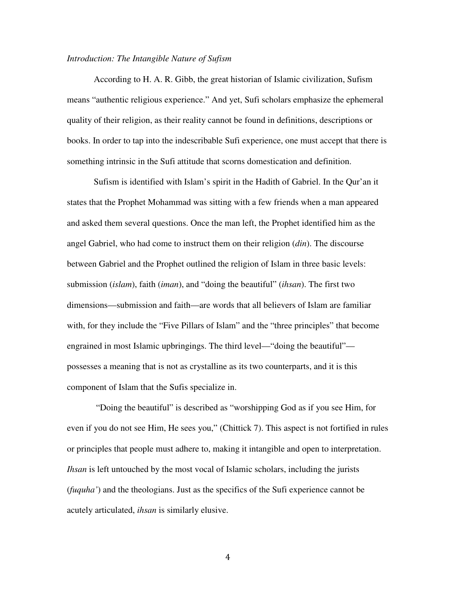#### *Introduction: The Intangible Nature of Sufism*

According to H. A. R. Gibb, the great historian of Islamic civilization, Sufism means "authentic religious experience." And yet, Sufi scholars emphasize the ephemeral quality of their religion, as their reality cannot be found in definitions, descriptions or books. In order to tap into the indescribable Sufi experience, one must accept that there is something intrinsic in the Sufi attitude that scorns domestication and definition.

 Sufism is identified with Islam's spirit in the Hadith of Gabriel. In the Qur'an it states that the Prophet Mohammad was sitting with a few friends when a man appeared and asked them several questions. Once the man left, the Prophet identified him as the angel Gabriel, who had come to instruct them on their religion (*din*). The discourse between Gabriel and the Prophet outlined the religion of Islam in three basic levels: submission (*islam*), faith (*iman*), and "doing the beautiful" (*ihsan*). The first two dimensions—submission and faith—are words that all believers of Islam are familiar with, for they include the "Five Pillars of Islam" and the "three principles" that become engrained in most Islamic upbringings. The third level—"doing the beautiful" possesses a meaning that is not as crystalline as its two counterparts, and it is this component of Islam that the Sufis specialize in.

 "Doing the beautiful" is described as "worshipping God as if you see Him, for even if you do not see Him, He sees you," (Chittick 7). This aspect is not fortified in rules or principles that people must adhere to, making it intangible and open to interpretation. *Ihsan* is left untouched by the most vocal of Islamic scholars, including the jurists (*fuquha'*) and the theologians. Just as the specifics of the Sufi experience cannot be acutely articulated, *ihsan* is similarly elusive.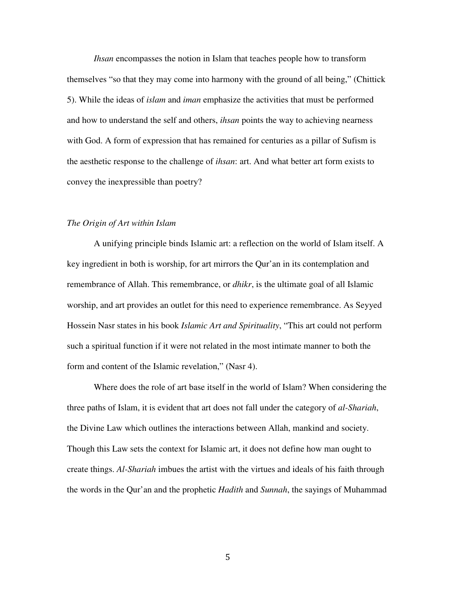*Ihsan* encompasses the notion in Islam that teaches people how to transform themselves "so that they may come into harmony with the ground of all being," (Chittick 5). While the ideas of *islam* and *iman* emphasize the activities that must be performed and how to understand the self and others, *ihsan* points the way to achieving nearness with God. A form of expression that has remained for centuries as a pillar of Sufism is the aesthetic response to the challenge of *ihsan*: art. And what better art form exists to convey the inexpressible than poetry?

## *The Origin of Art within Islam*

 A unifying principle binds Islamic art: a reflection on the world of Islam itself. A key ingredient in both is worship, for art mirrors the Qur'an in its contemplation and remembrance of Allah. This remembrance, or *dhikr*, is the ultimate goal of all Islamic worship, and art provides an outlet for this need to experience remembrance. As Seyyed Hossein Nasr states in his book *Islamic Art and Spirituality*, "This art could not perform such a spiritual function if it were not related in the most intimate manner to both the form and content of the Islamic revelation," (Nasr 4).

 Where does the role of art base itself in the world of Islam? When considering the three paths of Islam, it is evident that art does not fall under the category of *al-Shariah*, the Divine Law which outlines the interactions between Allah, mankind and society. Though this Law sets the context for Islamic art, it does not define how man ought to create things. *Al-Shariah* imbues the artist with the virtues and ideals of his faith through the words in the Qur'an and the prophetic *Hadith* and *Sunnah*, the sayings of Muhammad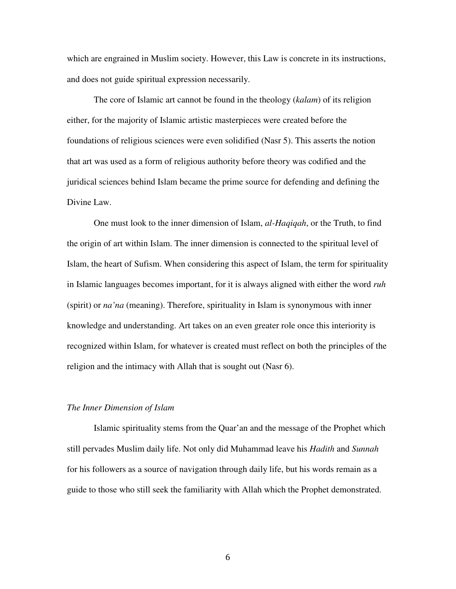which are engrained in Muslim society. However, this Law is concrete in its instructions, and does not guide spiritual expression necessarily.

 The core of Islamic art cannot be found in the theology (*kalam*) of its religion either, for the majority of Islamic artistic masterpieces were created before the foundations of religious sciences were even solidified (Nasr 5). This asserts the notion that art was used as a form of religious authority before theory was codified and the juridical sciences behind Islam became the prime source for defending and defining the Divine Law.

 One must look to the inner dimension of Islam, *al-Haqiqah*, or the Truth, to find the origin of art within Islam. The inner dimension is connected to the spiritual level of Islam, the heart of Sufism. When considering this aspect of Islam, the term for spirituality in Islamic languages becomes important, for it is always aligned with either the word *ruh* (spirit) or *na'na* (meaning). Therefore, spirituality in Islam is synonymous with inner knowledge and understanding. Art takes on an even greater role once this interiority is recognized within Islam, for whatever is created must reflect on both the principles of the religion and the intimacy with Allah that is sought out (Nasr 6).

#### *The Inner Dimension of Islam*

 Islamic spirituality stems from the Quar'an and the message of the Prophet which still pervades Muslim daily life. Not only did Muhammad leave his *Hadith* and *Sunnah* for his followers as a source of navigation through daily life, but his words remain as a guide to those who still seek the familiarity with Allah which the Prophet demonstrated.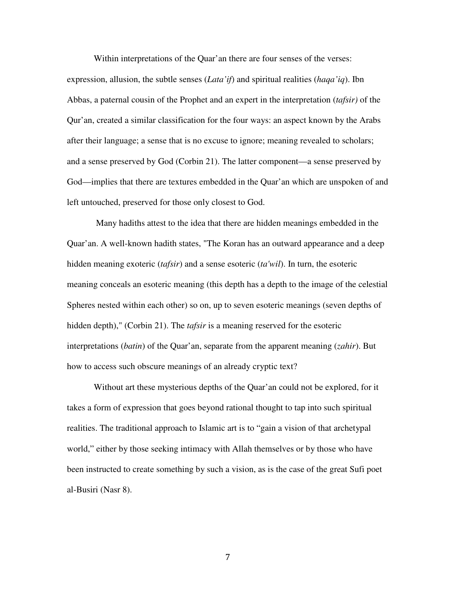Within interpretations of the Quar'an there are four senses of the verses:

expression, allusion, the subtle senses (*Lata'if*) and spiritual realities (*haqa'iq*). Ibn Abbas, a paternal cousin of the Prophet and an expert in the interpretation (*tafsir)* of the Qur'an, created a similar classification for the four ways: an aspect known by the Arabs after their language; a sense that is no excuse to ignore; meaning revealed to scholars; and a sense preserved by God (Corbin 21). The latter component—a sense preserved by God—implies that there are textures embedded in the Quar'an which are unspoken of and left untouched, preserved for those only closest to God.

 Many hadiths attest to the idea that there are hidden meanings embedded in the Quar'an. A well-known hadith states, "The Koran has an outward appearance and a deep hidden meaning exoteric (*tafsir*) and a sense esoteric (*ta'wil*). In turn, the esoteric meaning conceals an esoteric meaning (this depth has a depth to the image of the celestial Spheres nested within each other) so on, up to seven esoteric meanings (seven depths of hidden depth)," (Corbin 21). The *tafsir* is a meaning reserved for the esoteric interpretations (*batin*) of the Quar'an, separate from the apparent meaning (*zahir*). But how to access such obscure meanings of an already cryptic text?

Without art these mysterious depths of the Quar'an could not be explored, for it takes a form of expression that goes beyond rational thought to tap into such spiritual realities. The traditional approach to Islamic art is to "gain a vision of that archetypal world," either by those seeking intimacy with Allah themselves or by those who have been instructed to create something by such a vision, as is the case of the great Sufi poet al-Busiri (Nasr 8).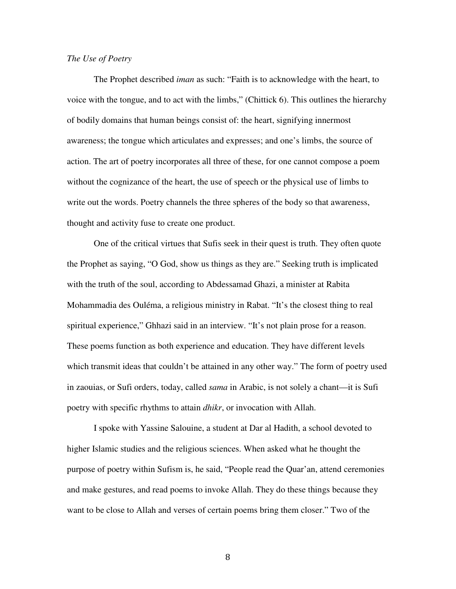## *The Use of Poetry*

 The Prophet described *iman* as such: "Faith is to acknowledge with the heart, to voice with the tongue, and to act with the limbs," (Chittick 6). This outlines the hierarchy of bodily domains that human beings consist of: the heart, signifying innermost awareness; the tongue which articulates and expresses; and one's limbs, the source of action. The art of poetry incorporates all three of these, for one cannot compose a poem without the cognizance of the heart, the use of speech or the physical use of limbs to write out the words. Poetry channels the three spheres of the body so that awareness, thought and activity fuse to create one product.

 One of the critical virtues that Sufis seek in their quest is truth. They often quote the Prophet as saying, "O God, show us things as they are." Seeking truth is implicated with the truth of the soul, according to Abdessamad Ghazi, a minister at Rabita Mohammadia des Ouléma, a religious ministry in Rabat. "It's the closest thing to real spiritual experience," Ghhazi said in an interview. "It's not plain prose for a reason. These poems function as both experience and education. They have different levels which transmit ideas that couldn't be attained in any other way." The form of poetry used in zaouias, or Sufi orders, today, called *sama* in Arabic, is not solely a chant—it is Sufi poetry with specific rhythms to attain *dhikr*, or invocation with Allah.

 I spoke with Yassine Salouine, a student at Dar al Hadith, a school devoted to higher Islamic studies and the religious sciences. When asked what he thought the purpose of poetry within Sufism is, he said, "People read the Quar'an, attend ceremonies and make gestures, and read poems to invoke Allah. They do these things because they want to be close to Allah and verses of certain poems bring them closer." Two of the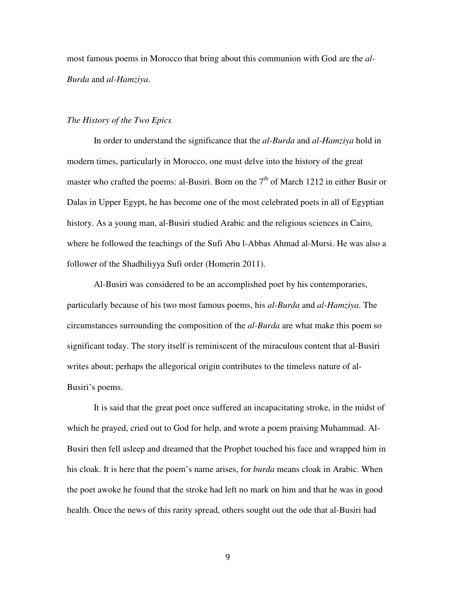most famous poems in Morocco that bring about this communion with God are the *al-Burda* and *al-Hamziya*.

### *The History of the Two Epics*

 In order to understand the significance that the *al-Burda* and *al-Hamziya* hold in modern times, particularly in Morocco, one must delve into the history of the great master who crafted the poems: al-Busiri. Born on the  $7<sup>th</sup>$  of March 1212 in either Busir or Dalas in Upper Egypt, he has become one of the most celebrated poets in all of Egyptian history. As a young man, al-Busiri studied Arabic and the religious sciences in Cairo, where he followed the teachings of the Sufi Abu l-Abbas Ahmad al-Mursi. He was also a follower of the Shadhiliyya Sufi order (Homerin 2011).

 Al-Busiri was considered to be an accomplished poet by his contemporaries, particularly because of his two most famous poems, his *al-Burda* and *al-Hamziya*. The circumstances surrounding the composition of the *al-Burda* are what make this poem so significant today. The story itself is reminiscent of the miraculous content that al-Busiri writes about; perhaps the allegorical origin contributes to the timeless nature of al-Busiri's poems.

It is said that the great poet once suffered an incapacitating stroke, in the midst of which he prayed, cried out to God for help, and wrote a poem praising Muhammad. Al-Busiri then fell asleep and dreamed that the Prophet touched his face and wrapped him in his cloak. It is here that the poem's name arises, for *burda* means cloak in Arabic. When the poet awoke he found that the stroke had left no mark on him and that he was in good health. Once the news of this rarity spread, others sought out the ode that al-Busiri had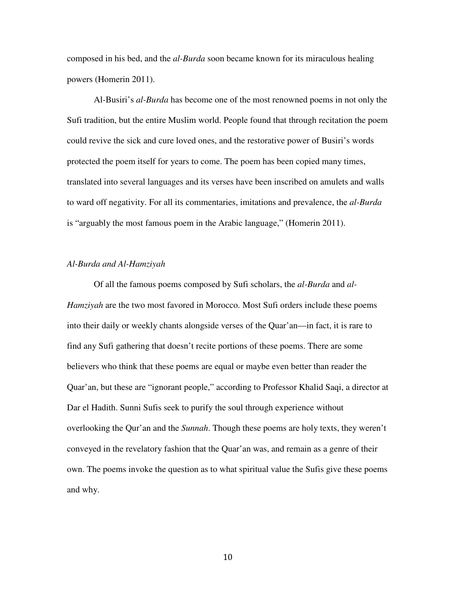composed in his bed, and the *al-Burda* soon became known for its miraculous healing powers (Homerin 2011).

 Al-Busiri's *al-Burda* has become one of the most renowned poems in not only the Sufi tradition, but the entire Muslim world. People found that through recitation the poem could revive the sick and cure loved ones, and the restorative power of Busiri's words protected the poem itself for years to come. The poem has been copied many times, translated into several languages and its verses have been inscribed on amulets and walls to ward off negativity. For all its commentaries, imitations and prevalence, the *al-Burda* is "arguably the most famous poem in the Arabic language," (Homerin 2011).

# *Al-Burda and Al-Hamziyah*

 Of all the famous poems composed by Sufi scholars, the *al-Burda* and *al-Hamziyah* are the two most favored in Morocco. Most Sufi orders include these poems into their daily or weekly chants alongside verses of the Quar'an—in fact, it is rare to find any Sufi gathering that doesn't recite portions of these poems. There are some believers who think that these poems are equal or maybe even better than reader the Quar'an, but these are "ignorant people," according to Professor Khalid Saqi, a director at Dar el Hadith. Sunni Sufis seek to purify the soul through experience without overlooking the Qur'an and the *Sunnah*. Though these poems are holy texts, they weren't conveyed in the revelatory fashion that the Quar'an was, and remain as a genre of their own. The poems invoke the question as to what spiritual value the Sufis give these poems and why.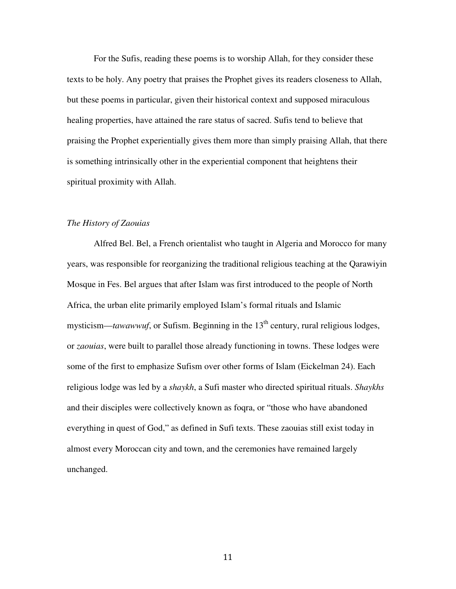For the Sufis, reading these poems is to worship Allah, for they consider these texts to be holy. Any poetry that praises the Prophet gives its readers closeness to Allah, but these poems in particular, given their historical context and supposed miraculous healing properties, have attained the rare status of sacred. Sufis tend to believe that praising the Prophet experientially gives them more than simply praising Allah, that there is something intrinsically other in the experiential component that heightens their spiritual proximity with Allah.

## *The History of Zaouias*

 Alfred Bel. Bel, a French orientalist who taught in Algeria and Morocco for many years, was responsible for reorganizing the traditional religious teaching at the Qarawiyin Mosque in Fes. Bel argues that after Islam was first introduced to the people of North Africa, the urban elite primarily employed Islam's formal rituals and Islamic mysticism—*tawawwuf*, or Sufism. Beginning in the  $13<sup>th</sup>$  century, rural religious lodges, or *zaouias*, were built to parallel those already functioning in towns. These lodges were some of the first to emphasize Sufism over other forms of Islam (Eickelman 24). Each religious lodge was led by a *shaykh*, a Sufi master who directed spiritual rituals. *Shaykhs* and their disciples were collectively known as foqra, or "those who have abandoned everything in quest of God," as defined in Sufi texts. These zaouias still exist today in almost every Moroccan city and town, and the ceremonies have remained largely unchanged.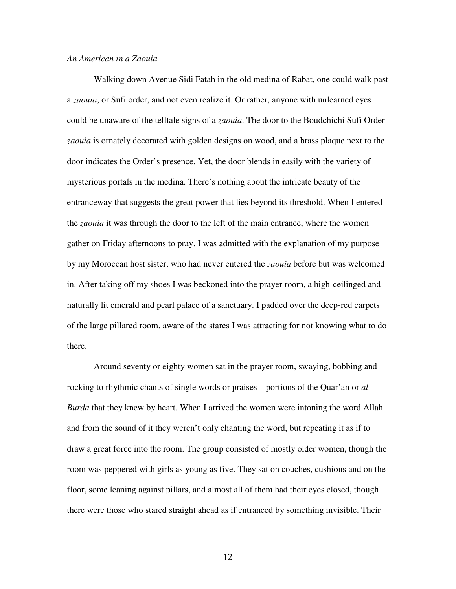### *An American in a Zaouia*

 Walking down Avenue Sidi Fatah in the old medina of Rabat, one could walk past a *zaouia*, or Sufi order, and not even realize it. Or rather, anyone with unlearned eyes could be unaware of the telltale signs of a *zaouia*. The door to the Boudchichi Sufi Order *zaouia* is ornately decorated with golden designs on wood, and a brass plaque next to the door indicates the Order's presence. Yet, the door blends in easily with the variety of mysterious portals in the medina. There's nothing about the intricate beauty of the entranceway that suggests the great power that lies beyond its threshold. When I entered the *zaouia* it was through the door to the left of the main entrance, where the women gather on Friday afternoons to pray. I was admitted with the explanation of my purpose by my Moroccan host sister, who had never entered the *zaouia* before but was welcomed in. After taking off my shoes I was beckoned into the prayer room, a high-ceilinged and naturally lit emerald and pearl palace of a sanctuary. I padded over the deep-red carpets of the large pillared room, aware of the stares I was attracting for not knowing what to do there.

Around seventy or eighty women sat in the prayer room, swaying, bobbing and rocking to rhythmic chants of single words or praises—portions of the Quar'an or *al-Burda* that they knew by heart. When I arrived the women were intoning the word Allah and from the sound of it they weren't only chanting the word, but repeating it as if to draw a great force into the room. The group consisted of mostly older women, though the room was peppered with girls as young as five. They sat on couches, cushions and on the floor, some leaning against pillars, and almost all of them had their eyes closed, though there were those who stared straight ahead as if entranced by something invisible. Their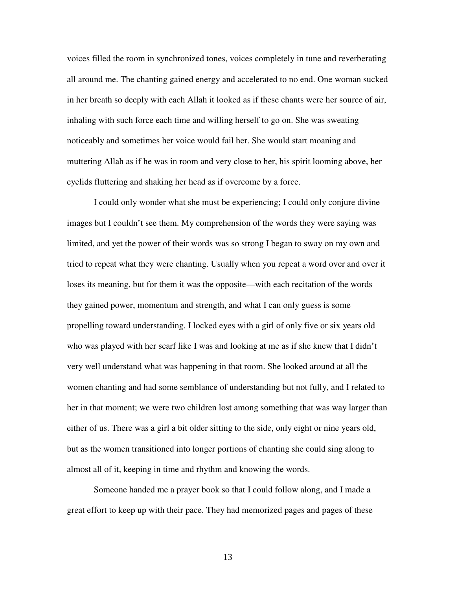voices filled the room in synchronized tones, voices completely in tune and reverberating all around me. The chanting gained energy and accelerated to no end. One woman sucked in her breath so deeply with each Allah it looked as if these chants were her source of air, inhaling with such force each time and willing herself to go on. She was sweating noticeably and sometimes her voice would fail her. She would start moaning and muttering Allah as if he was in room and very close to her, his spirit looming above, her eyelids fluttering and shaking her head as if overcome by a force.

I could only wonder what she must be experiencing; I could only conjure divine images but I couldn't see them. My comprehension of the words they were saying was limited, and yet the power of their words was so strong I began to sway on my own and tried to repeat what they were chanting. Usually when you repeat a word over and over it loses its meaning, but for them it was the opposite—with each recitation of the words they gained power, momentum and strength, and what I can only guess is some propelling toward understanding. I locked eyes with a girl of only five or six years old who was played with her scarf like I was and looking at me as if she knew that I didn't very well understand what was happening in that room. She looked around at all the women chanting and had some semblance of understanding but not fully, and I related to her in that moment; we were two children lost among something that was way larger than either of us. There was a girl a bit older sitting to the side, only eight or nine years old, but as the women transitioned into longer portions of chanting she could sing along to almost all of it, keeping in time and rhythm and knowing the words.

Someone handed me a prayer book so that I could follow along, and I made a great effort to keep up with their pace. They had memorized pages and pages of these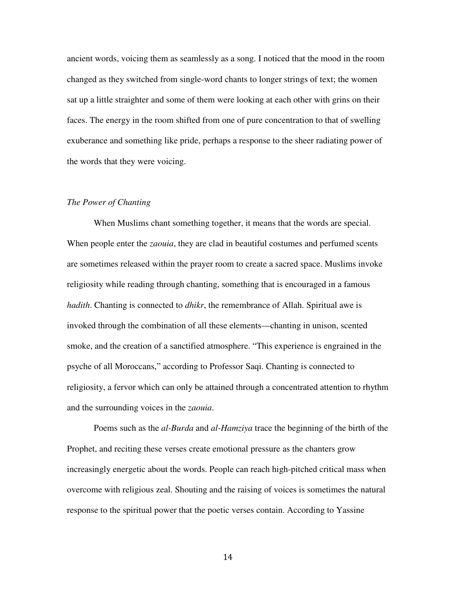ancient words, voicing them as seamlessly as a song. I noticed that the mood in the room changed as they switched from single-word chants to longer strings of text; the women sat up a little straighter and some of them were looking at each other with grins on their faces. The energy in the room shifted from one of pure concentration to that of swelling exuberance and something like pride, perhaps a response to the sheer radiating power of the words that they were voicing.

#### *The Power of Chanting*

 When Muslims chant something together, it means that the words are special. When people enter the *zaouia*, they are clad in beautiful costumes and perfumed scents are sometimes released within the prayer room to create a sacred space. Muslims invoke religiosity while reading through chanting, something that is encouraged in a famous *hadith*. Chanting is connected to *dhikr*, the remembrance of Allah. Spiritual awe is invoked through the combination of all these elements—chanting in unison, scented smoke, and the creation of a sanctified atmosphere. "This experience is engrained in the psyche of all Moroccans," according to Professor Saqi. Chanting is connected to religiosity, a fervor which can only be attained through a concentrated attention to rhythm and the surrounding voices in the *zaouia*.

Poems such as the *al-Burda* and *al-Hamziya* trace the beginning of the birth of the Prophet, and reciting these verses create emotional pressure as the chanters grow increasingly energetic about the words. People can reach high-pitched critical mass when overcome with religious zeal. Shouting and the raising of voices is sometimes the natural response to the spiritual power that the poetic verses contain. According to Yassine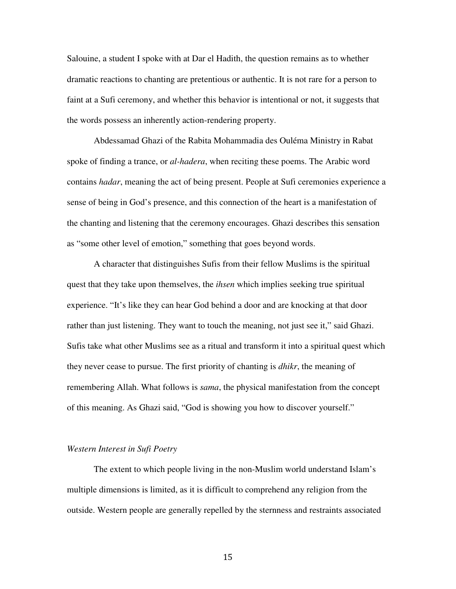Salouine, a student I spoke with at Dar el Hadith, the question remains as to whether dramatic reactions to chanting are pretentious or authentic. It is not rare for a person to faint at a Sufi ceremony, and whether this behavior is intentional or not, it suggests that the words possess an inherently action-rendering property.

 Abdessamad Ghazi of the Rabita Mohammadia des Ouléma Ministry in Rabat spoke of finding a trance, or *al-hadera*, when reciting these poems. The Arabic word contains *hadar*, meaning the act of being present. People at Sufi ceremonies experience a sense of being in God's presence, and this connection of the heart is a manifestation of the chanting and listening that the ceremony encourages. Ghazi describes this sensation as "some other level of emotion," something that goes beyond words.

 A character that distinguishes Sufis from their fellow Muslims is the spiritual quest that they take upon themselves, the *ihsen* which implies seeking true spiritual experience. "It's like they can hear God behind a door and are knocking at that door rather than just listening. They want to touch the meaning, not just see it," said Ghazi. Sufis take what other Muslims see as a ritual and transform it into a spiritual quest which they never cease to pursue. The first priority of chanting is *dhikr*, the meaning of remembering Allah. What follows is *sama*, the physical manifestation from the concept of this meaning. As Ghazi said, "God is showing you how to discover yourself."

#### *Western Interest in Sufi Poetry*

 The extent to which people living in the non-Muslim world understand Islam's multiple dimensions is limited, as it is difficult to comprehend any religion from the outside. Western people are generally repelled by the sternness and restraints associated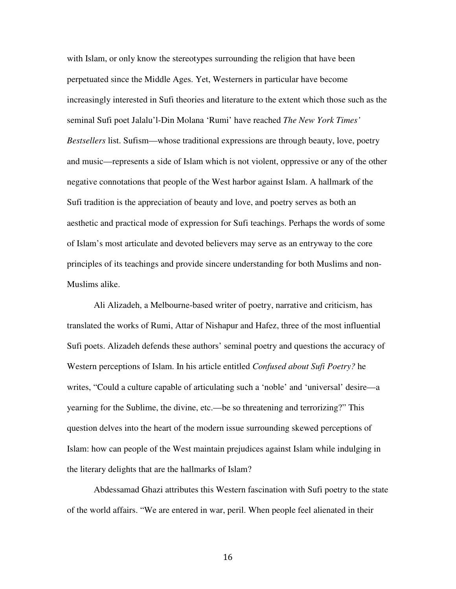with Islam, or only know the stereotypes surrounding the religion that have been perpetuated since the Middle Ages. Yet, Westerners in particular have become increasingly interested in Sufi theories and literature to the extent which those such as the seminal Sufi poet Jalalu'l-Din Molana 'Rumi' have reached *The New York Times' Bestsellers* list. Sufism—whose traditional expressions are through beauty, love, poetry and music—represents a side of Islam which is not violent, oppressive or any of the other negative connotations that people of the West harbor against Islam. A hallmark of the Sufi tradition is the appreciation of beauty and love, and poetry serves as both an aesthetic and practical mode of expression for Sufi teachings. Perhaps the words of some of Islam's most articulate and devoted believers may serve as an entryway to the core principles of its teachings and provide sincere understanding for both Muslims and non-Muslims alike.

 Ali Alizadeh, a Melbourne-based writer of poetry, narrative and criticism, has translated the works of Rumi, Attar of Nishapur and Hafez, three of the most influential Sufi poets. Alizadeh defends these authors' seminal poetry and questions the accuracy of Western perceptions of Islam. In his article entitled *Confused about Sufi Poetry?* he writes, "Could a culture capable of articulating such a 'noble' and 'universal' desire—a yearning for the Sublime, the divine, etc.—be so threatening and terrorizing?" This question delves into the heart of the modern issue surrounding skewed perceptions of Islam: how can people of the West maintain prejudices against Islam while indulging in the literary delights that are the hallmarks of Islam?

 Abdessamad Ghazi attributes this Western fascination with Sufi poetry to the state of the world affairs. "We are entered in war, peril. When people feel alienated in their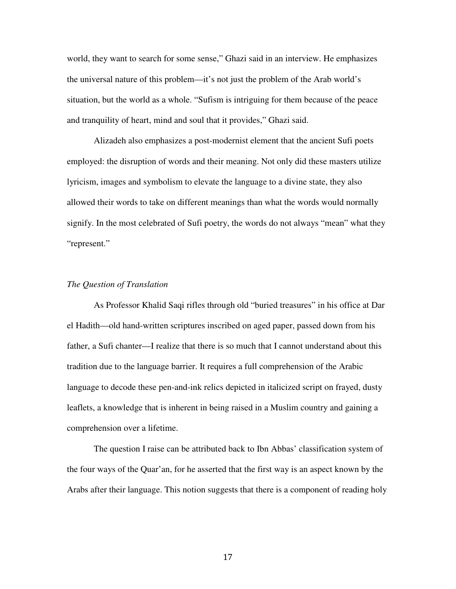world, they want to search for some sense," Ghazi said in an interview. He emphasizes the universal nature of this problem—it's not just the problem of the Arab world's situation, but the world as a whole. "Sufism is intriguing for them because of the peace and tranquility of heart, mind and soul that it provides," Ghazi said.

 Alizadeh also emphasizes a post-modernist element that the ancient Sufi poets employed: the disruption of words and their meaning. Not only did these masters utilize lyricism, images and symbolism to elevate the language to a divine state, they also allowed their words to take on different meanings than what the words would normally signify. In the most celebrated of Sufi poetry, the words do not always "mean" what they "represent."

#### *The Question of Translation*

 As Professor Khalid Saqi rifles through old "buried treasures" in his office at Dar el Hadith—old hand-written scriptures inscribed on aged paper, passed down from his father, a Sufi chanter—I realize that there is so much that I cannot understand about this tradition due to the language barrier. It requires a full comprehension of the Arabic language to decode these pen-and-ink relics depicted in italicized script on frayed, dusty leaflets, a knowledge that is inherent in being raised in a Muslim country and gaining a comprehension over a lifetime.

 The question I raise can be attributed back to Ibn Abbas' classification system of the four ways of the Quar'an, for he asserted that the first way is an aspect known by the Arabs after their language. This notion suggests that there is a component of reading holy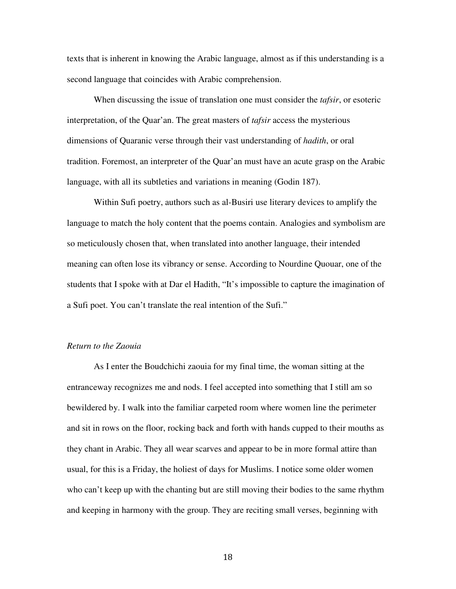texts that is inherent in knowing the Arabic language, almost as if this understanding is a second language that coincides with Arabic comprehension.

 When discussing the issue of translation one must consider the *tafsir*, or esoteric interpretation, of the Quar'an. The great masters of *tafsir* access the mysterious dimensions of Quaranic verse through their vast understanding of *hadith*, or oral tradition. Foremost, an interpreter of the Quar'an must have an acute grasp on the Arabic language, with all its subtleties and variations in meaning (Godin 187).

 Within Sufi poetry, authors such as al-Busiri use literary devices to amplify the language to match the holy content that the poems contain. Analogies and symbolism are so meticulously chosen that, when translated into another language, their intended meaning can often lose its vibrancy or sense. According to Nourdine Quouar, one of the students that I spoke with at Dar el Hadith, "It's impossible to capture the imagination of a Sufi poet. You can't translate the real intention of the Sufi."

#### *Return to the Zaouia*

 As I enter the Boudchichi zaouia for my final time, the woman sitting at the entranceway recognizes me and nods. I feel accepted into something that I still am so bewildered by. I walk into the familiar carpeted room where women line the perimeter and sit in rows on the floor, rocking back and forth with hands cupped to their mouths as they chant in Arabic. They all wear scarves and appear to be in more formal attire than usual, for this is a Friday, the holiest of days for Muslims. I notice some older women who can't keep up with the chanting but are still moving their bodies to the same rhythm and keeping in harmony with the group. They are reciting small verses, beginning with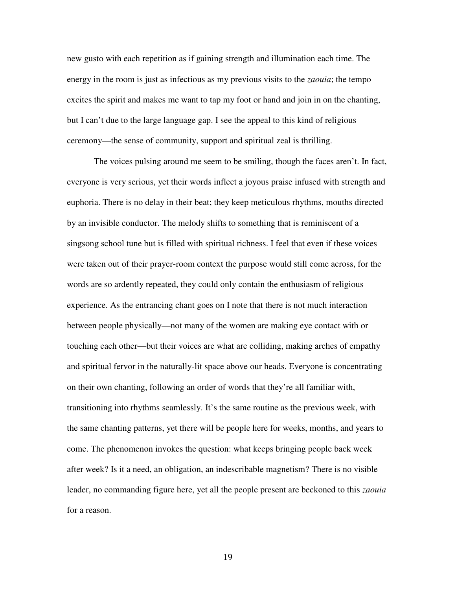new gusto with each repetition as if gaining strength and illumination each time. The energy in the room is just as infectious as my previous visits to the *zaouia*; the tempo excites the spirit and makes me want to tap my foot or hand and join in on the chanting, but I can't due to the large language gap. I see the appeal to this kind of religious ceremony—the sense of community, support and spiritual zeal is thrilling.

The voices pulsing around me seem to be smiling, though the faces aren't. In fact, everyone is very serious, yet their words inflect a joyous praise infused with strength and euphoria. There is no delay in their beat; they keep meticulous rhythms, mouths directed by an invisible conductor. The melody shifts to something that is reminiscent of a singsong school tune but is filled with spiritual richness. I feel that even if these voices were taken out of their prayer-room context the purpose would still come across, for the words are so ardently repeated, they could only contain the enthusiasm of religious experience. As the entrancing chant goes on I note that there is not much interaction between people physically—not many of the women are making eye contact with or touching each other—but their voices are what are colliding, making arches of empathy and spiritual fervor in the naturally-lit space above our heads. Everyone is concentrating on their own chanting, following an order of words that they're all familiar with, transitioning into rhythms seamlessly. It's the same routine as the previous week, with the same chanting patterns, yet there will be people here for weeks, months, and years to come. The phenomenon invokes the question: what keeps bringing people back week after week? Is it a need, an obligation, an indescribable magnetism? There is no visible leader, no commanding figure here, yet all the people present are beckoned to this *zaouia* for a reason.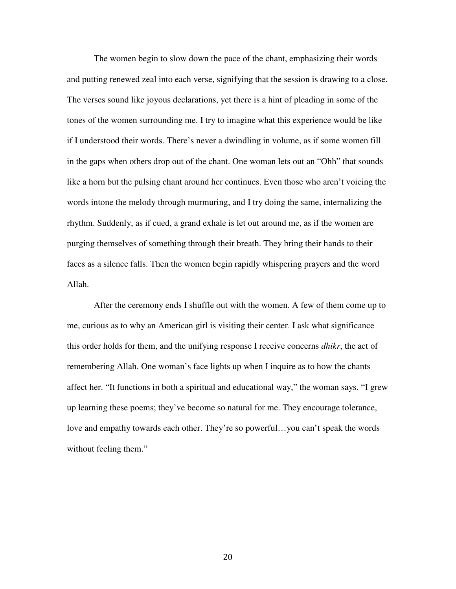The women begin to slow down the pace of the chant, emphasizing their words and putting renewed zeal into each verse, signifying that the session is drawing to a close. The verses sound like joyous declarations, yet there is a hint of pleading in some of the tones of the women surrounding me. I try to imagine what this experience would be like if I understood their words. There's never a dwindling in volume, as if some women fill in the gaps when others drop out of the chant. One woman lets out an "Ohh" that sounds like a horn but the pulsing chant around her continues. Even those who aren't voicing the words intone the melody through murmuring, and I try doing the same, internalizing the rhythm. Suddenly, as if cued, a grand exhale is let out around me, as if the women are purging themselves of something through their breath. They bring their hands to their faces as a silence falls. Then the women begin rapidly whispering prayers and the word Allah.

 After the ceremony ends I shuffle out with the women. A few of them come up to me, curious as to why an American girl is visiting their center. I ask what significance this order holds for them, and the unifying response I receive concerns *dhikr*, the act of remembering Allah. One woman's face lights up when I inquire as to how the chants affect her. "It functions in both a spiritual and educational way," the woman says. "I grew up learning these poems; they've become so natural for me. They encourage tolerance, love and empathy towards each other. They're so powerful…you can't speak the words without feeling them."